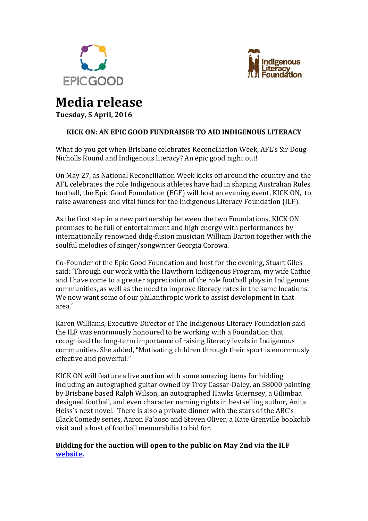



# **Media release**

**Tuesday, 5 April, 2016**

## **KICK ON: AN EPIC GOOD FUNDRAISER TO AID INDIGENOUS LITERACY**

What do you get when Brisbane celebrates Reconciliation Week, AFL's Sir Doug Nicholls Round and Indigenous literacy? An epic good night out!

On May 27, as National Reconciliation Week kicks off around the country and the AFL celebrates the role Indigenous athletes have had in shaping Australian Rules football, the Epic Good Foundation (EGF) will host an evening event, KICK ON, to raise awareness and vital funds for the Indigenous Literacy Foundation (ILF).

As the first step in a new partnership between the two Foundations, KICK ON promises to be full of entertainment and high energy with performances by internationally renowned didg-fusion musician William Barton together with the soulful melodies of singer/songwriter Georgia Corowa.

Co-Founder of the Epic Good Foundation and host for the evening, Stuart Giles said: 'Through our work with the Hawthorn Indigenous Program, my wife Cathie and I have come to a greater appreciation of the role football plays in Indigenous communities, as well as the need to improve literacy rates in the same locations. We now want some of our philanthropic work to assist development in that area.'

Karen Williams, Executive Director of The Indigenous Literacy Foundation said the ILF was enormously honoured to be working with a Foundation that recognised the long-term importance of raising literacy levels in Indigenous communities. She added, "Motivating children through their sport is enormously effective and powerful."

KICK ON will feature a live auction with some amazing items for bidding including an autographed guitar owned by Troy Cassar-Daley, an \$8000 painting by Brisbane based Ralph Wilson, an autographed Hawks Guernsey, a Gilimbaa designed football, and even character naming rights in bestselling author, Anita Heiss's next novel. There is also a private dinner with the stars of the ABC's Black Comedy series, Aaron Fa'aoso and Steven Oliver, a Kate Grenville bookclub visit and a host of football memorabilia to bid for.

## **Bidding for the auction will open to the public on May 2nd via the ILF [website.](http://www.indigenousliteracyfoundation.org.au/)**